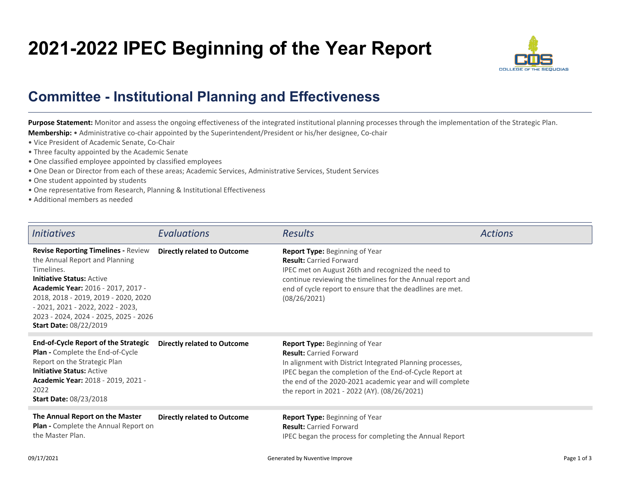## **2021-2022 IPEC Beginning of the Year Report**



## **Committee - Institutional Planning and Effectiveness**

Purpose Statement: Monitor and assess the ongoing effectiveness of the integrated institutional planning processes through the implementation of the Strategic Plan. **Membership:** • Administrative co-chair appointed by the Superintendent/President or his/her designee, Co-chair

- Vice President of Academic Senate, Co-Chair
- Three faculty appointed by the Academic Senate
- One classified employee appointed by classified employees
- One Dean or Director from each of these areas; Academic Services, Administrative Services, Student Services
- One student appointed by students
- One representative from Research, Planning & Institutional Effectiveness
- Additional members as needed

| <i>Initiatives</i>                                                                                                                                                                                                                                                                                                           | Evaluations                        | <b>Results</b>                                                                                                                                                                                                                                                                                       | <b>Actions</b> |
|------------------------------------------------------------------------------------------------------------------------------------------------------------------------------------------------------------------------------------------------------------------------------------------------------------------------------|------------------------------------|------------------------------------------------------------------------------------------------------------------------------------------------------------------------------------------------------------------------------------------------------------------------------------------------------|----------------|
| <b>Revise Reporting Timelines - Review</b><br>the Annual Report and Planning<br>Timelines.<br><b>Initiative Status: Active</b><br>Academic Year: 2016 - 2017, 2017 -<br>2018, 2018 - 2019, 2019 - 2020, 2020<br>$-2021, 2021 - 2022, 2022 - 2023,$<br>2023 - 2024, 2024 - 2025, 2025 - 2026<br><b>Start Date: 08/22/2019</b> | <b>Directly related to Outcome</b> | Report Type: Beginning of Year<br><b>Result:</b> Carried Forward<br>IPEC met on August 26th and recognized the need to<br>continue reviewing the timelines for the Annual report and<br>end of cycle report to ensure that the deadlines are met.<br>(08/26/2021)                                    |                |
| <b>End-of-Cycle Report of the Strategic</b><br><b>Plan -</b> Complete the End-of-Cycle<br>Report on the Strategic Plan<br><b>Initiative Status: Active</b><br><b>Academic Year: 2018 - 2019, 2021 -</b><br>2022<br><b>Start Date: 08/23/2018</b>                                                                             | <b>Directly related to Outcome</b> | Report Type: Beginning of Year<br><b>Result:</b> Carried Forward<br>In alignment with District Integrated Planning processes,<br>IPEC began the completion of the End-of-Cycle Report at<br>the end of the 2020-2021 academic year and will complete<br>the report in 2021 - 2022 (AY). (08/26/2021) |                |
| The Annual Report on the Master<br><b>Plan -</b> Complete the Annual Report on<br>the Master Plan.                                                                                                                                                                                                                           | <b>Directly related to Outcome</b> | <b>Report Type: Beginning of Year</b><br><b>Result:</b> Carried Forward<br>IPEC began the process for completing the Annual Report                                                                                                                                                                   |                |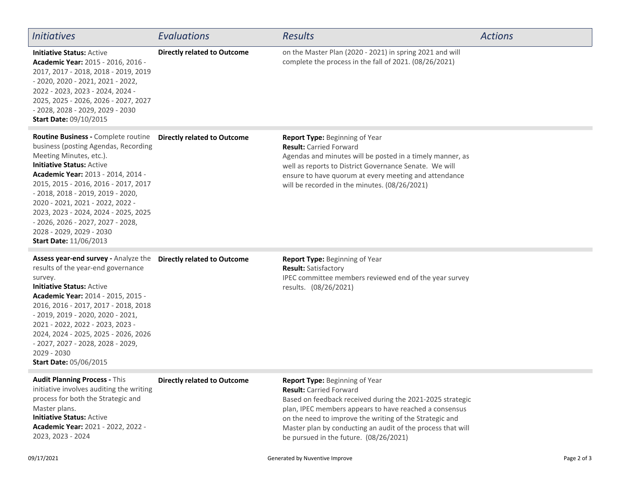| <b>Initiatives</b>                                                                                                                                                                                                                                                                                                                                                                                                                                                             | <b>Evaluations</b>                 | <b>Results</b>                                                                                                                                                                                                                                                                                                                                              | <b>Actions</b> |
|--------------------------------------------------------------------------------------------------------------------------------------------------------------------------------------------------------------------------------------------------------------------------------------------------------------------------------------------------------------------------------------------------------------------------------------------------------------------------------|------------------------------------|-------------------------------------------------------------------------------------------------------------------------------------------------------------------------------------------------------------------------------------------------------------------------------------------------------------------------------------------------------------|----------------|
| <b>Initiative Status: Active</b><br><b>Academic Year: 2015 - 2016, 2016 -</b><br>2017, 2017 - 2018, 2018 - 2019, 2019<br>- 2020, 2020 - 2021, 2021 - 2022,<br>2022 - 2023, 2023 - 2024, 2024 -<br>2025, 2025 - 2026, 2026 - 2027, 2027<br>- 2028, 2028 - 2029, 2029 - 2030<br><b>Start Date: 09/10/2015</b>                                                                                                                                                                    | <b>Directly related to Outcome</b> | on the Master Plan (2020 - 2021) in spring 2021 and will<br>complete the process in the fall of 2021. (08/26/2021)                                                                                                                                                                                                                                          |                |
| Routine Business - Complete routine  Directly related to Outcome<br>business (posting Agendas, Recording<br>Meeting Minutes, etc.).<br><b>Initiative Status: Active</b><br>Academic Year: 2013 - 2014, 2014 -<br>2015, 2015 - 2016, 2016 - 2017, 2017<br>$-2018$ , 2018 $-2019$ , 2019 $-2020$ ,<br>2020 - 2021, 2021 - 2022, 2022 -<br>2023, 2023 - 2024, 2024 - 2025, 2025<br>- 2026, 2026 - 2027, 2027 - 2028,<br>2028 - 2029, 2029 - 2030<br><b>Start Date: 11/06/2013</b> |                                    | Report Type: Beginning of Year<br><b>Result: Carried Forward</b><br>Agendas and minutes will be posted in a timely manner, as<br>well as reports to District Governance Senate. We will<br>ensure to have quorum at every meeting and attendance<br>will be recorded in the minutes. (08/26/2021)                                                           |                |
| Assess year-end survey - Analyze the Directly related to Outcome<br>results of the year-end governance<br>survey.<br><b>Initiative Status: Active</b><br><b>Academic Year: 2014 - 2015, 2015 -</b><br>2016, 2016 - 2017, 2017 - 2018, 2018<br>- 2019, 2019 - 2020, 2020 - 2021,<br>2021 - 2022, 2022 - 2023, 2023 -<br>2024, 2024 - 2025, 2025 - 2026, 2026<br>- 2027, 2027 - 2028, 2028 - 2029,<br>2029 - 2030<br><b>Start Date: 05/06/2015</b>                               |                                    | Report Type: Beginning of Year<br><b>Result: Satisfactory</b><br>IPEC committee members reviewed end of the year survey<br>results. (08/26/2021)                                                                                                                                                                                                            |                |
| Audit Planning Process - This<br>initiative involves auditing the writing<br>process for both the Strategic and<br>Master plans.<br><b>Initiative Status: Active</b><br>Academic Year: 2021 - 2022, 2022 -<br>2023, 2023 - 2024                                                                                                                                                                                                                                                | <b>Directly related to Outcome</b> | Report Type: Beginning of Year<br><b>Result: Carried Forward</b><br>Based on feedback received during the 2021-2025 strategic<br>plan, IPEC members appears to have reached a consensus<br>on the need to improve the writing of the Strategic and<br>Master plan by conducting an audit of the process that will<br>be pursued in the future. (08/26/2021) |                |
| 09/17/2021                                                                                                                                                                                                                                                                                                                                                                                                                                                                     |                                    | Generated by Nuventive Improve                                                                                                                                                                                                                                                                                                                              | Page 2 of 3    |